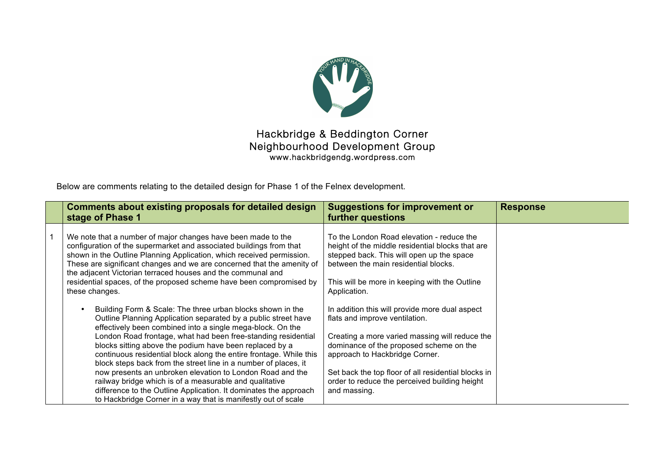

## Hackbridge & Beddington Corner Neighbourhood Development Group www.hackbridgendg.wordpress.com

Below are comments relating to the detailed design for Phase 1 of the Felnex development.

| <b>Comments about existing proposals for detailed design</b><br>stage of Phase 1                                                                                                                                                                                                                                                                                                                                                               | <b>Suggestions for improvement or</b><br>further questions                                                                                                                                                                                          | <b>Response</b> |
|------------------------------------------------------------------------------------------------------------------------------------------------------------------------------------------------------------------------------------------------------------------------------------------------------------------------------------------------------------------------------------------------------------------------------------------------|-----------------------------------------------------------------------------------------------------------------------------------------------------------------------------------------------------------------------------------------------------|-----------------|
| We note that a number of major changes have been made to the<br>configuration of the supermarket and associated buildings from that<br>shown in the Outline Planning Application, which received permission.<br>These are significant changes and we are concerned that the amenity of<br>the adjacent Victorian terraced houses and the communal and<br>residential spaces, of the proposed scheme have been compromised by<br>these changes. | To the London Road elevation - reduce the<br>height of the middle residential blocks that are<br>stepped back. This will open up the space<br>between the main residential blocks.<br>This will be more in keeping with the Outline<br>Application. |                 |
| Building Form & Scale: The three urban blocks shown in the<br>Outline Planning Application separated by a public street have<br>effectively been combined into a single mega-block. On the<br>London Road frontage, what had been free-standing residential<br>blocks sitting above the podium have been replaced by a                                                                                                                         | In addition this will provide more dual aspect<br>flats and improve ventilation.<br>Creating a more varied massing will reduce the<br>dominance of the proposed scheme on the                                                                       |                 |
| continuous residential block along the entire frontage. While this<br>block steps back from the street line in a number of places, it<br>now presents an unbroken elevation to London Road and the<br>railway bridge which is of a measurable and qualitative<br>difference to the Outline Application. It dominates the approach<br>to Hackbridge Corner in a way that is manifestly out of scale                                             | approach to Hackbridge Corner.<br>Set back the top floor of all residential blocks in<br>order to reduce the perceived building height<br>and massing.                                                                                              |                 |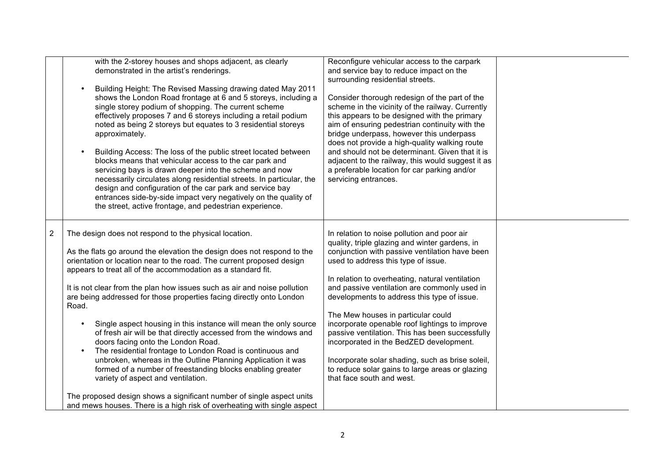|                | with the 2-storey houses and shops adjacent, as clearly<br>demonstrated in the artist's renderings.<br>Building Height: The Revised Massing drawing dated May 2011<br>shows the London Road frontage at 6 and 5 storeys, including a<br>single storey podium of shopping. The current scheme<br>effectively proposes 7 and 6 storeys including a retail podium<br>noted as being 2 storeys but equates to 3 residential storeys<br>approximately.<br>Building Access: The loss of the public street located between<br>blocks means that vehicular access to the car park and<br>servicing bays is drawn deeper into the scheme and now<br>necessarily circulates along residential streets. In particular, the<br>design and configuration of the car park and service bay<br>entrances side-by-side impact very negatively on the quality of<br>the street, active frontage, and pedestrian experience.                                                                                                 | Reconfigure vehicular access to the carpark<br>and service bay to reduce impact on the<br>surrounding residential streets.<br>Consider thorough redesign of the part of the<br>scheme in the vicinity of the railway. Currently<br>this appears to be designed with the primary<br>aim of ensuring pedestrian continuity with the<br>bridge underpass, however this underpass<br>does not provide a high-quality walking route<br>and should not be determinant. Given that it is<br>adjacent to the railway, this would suggest it as<br>a preferable location for car parking and/or<br>servicing entrances.                                                     |  |
|----------------|-----------------------------------------------------------------------------------------------------------------------------------------------------------------------------------------------------------------------------------------------------------------------------------------------------------------------------------------------------------------------------------------------------------------------------------------------------------------------------------------------------------------------------------------------------------------------------------------------------------------------------------------------------------------------------------------------------------------------------------------------------------------------------------------------------------------------------------------------------------------------------------------------------------------------------------------------------------------------------------------------------------|--------------------------------------------------------------------------------------------------------------------------------------------------------------------------------------------------------------------------------------------------------------------------------------------------------------------------------------------------------------------------------------------------------------------------------------------------------------------------------------------------------------------------------------------------------------------------------------------------------------------------------------------------------------------|--|
| $\overline{2}$ | The design does not respond to the physical location.<br>As the flats go around the elevation the design does not respond to the<br>orientation or location near to the road. The current proposed design<br>appears to treat all of the accommodation as a standard fit.<br>It is not clear from the plan how issues such as air and noise pollution<br>are being addressed for those properties facing directly onto London<br>Road.<br>Single aspect housing in this instance will mean the only source<br>of fresh air will be that directly accessed from the windows and<br>doors facing onto the London Road.<br>The residential frontage to London Road is continuous and<br>unbroken, whereas in the Outline Planning Application it was<br>formed of a number of freestanding blocks enabling greater<br>variety of aspect and ventilation.<br>The proposed design shows a significant number of single aspect units<br>and mews houses. There is a high risk of overheating with single aspect | In relation to noise pollution and poor air<br>quality, triple glazing and winter gardens, in<br>conjunction with passive ventilation have been<br>used to address this type of issue.<br>In relation to overheating, natural ventilation<br>and passive ventilation are commonly used in<br>developments to address this type of issue.<br>The Mew houses in particular could<br>incorporate openable roof lightings to improve<br>passive ventilation. This has been successfully<br>incorporated in the BedZED development.<br>Incorporate solar shading, such as brise soleil,<br>to reduce solar gains to large areas or glazing<br>that face south and west. |  |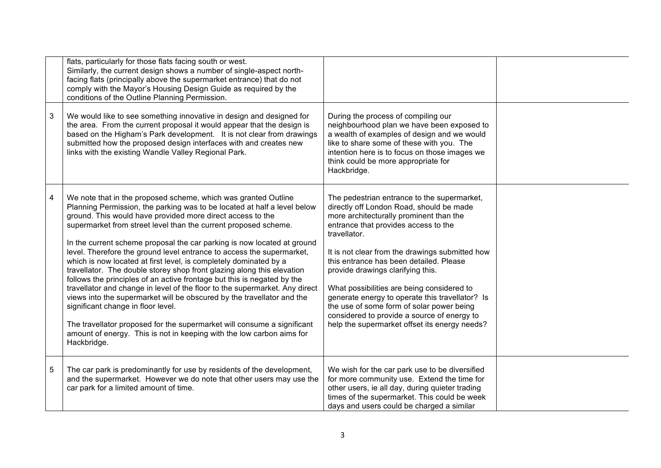|   | flats, particularly for those flats facing south or west.<br>Similarly, the current design shows a number of single-aspect north-<br>facing flats (principally above the supermarket entrance) that do not<br>comply with the Mayor's Housing Design Guide as required by the<br>conditions of the Outline Planning Permission.                                                                                                                                                                                                                                                                                                                                                                                                                                                                                                                                                                                                                                                                                             |                                                                                                                                                                                                                                                                                                                                                                                                                                                                                                                                                                             |  |
|---|-----------------------------------------------------------------------------------------------------------------------------------------------------------------------------------------------------------------------------------------------------------------------------------------------------------------------------------------------------------------------------------------------------------------------------------------------------------------------------------------------------------------------------------------------------------------------------------------------------------------------------------------------------------------------------------------------------------------------------------------------------------------------------------------------------------------------------------------------------------------------------------------------------------------------------------------------------------------------------------------------------------------------------|-----------------------------------------------------------------------------------------------------------------------------------------------------------------------------------------------------------------------------------------------------------------------------------------------------------------------------------------------------------------------------------------------------------------------------------------------------------------------------------------------------------------------------------------------------------------------------|--|
| 3 | We would like to see something innovative in design and designed for<br>the area. From the current proposal it would appear that the design is<br>based on the Higham's Park development. It is not clear from drawings<br>submitted how the proposed design interfaces with and creates new<br>links with the existing Wandle Valley Regional Park.                                                                                                                                                                                                                                                                                                                                                                                                                                                                                                                                                                                                                                                                        | During the process of compiling our<br>neighbourhood plan we have been exposed to<br>a wealth of examples of design and we would<br>like to share some of these with you. The<br>intention here is to focus on those images we<br>think could be more appropriate for<br>Hackbridge.                                                                                                                                                                                                                                                                                        |  |
| 4 | We note that in the proposed scheme, which was granted Outline<br>Planning Permission, the parking was to be located at half a level below<br>ground. This would have provided more direct access to the<br>supermarket from street level than the current proposed scheme.<br>In the current scheme proposal the car parking is now located at ground<br>level. Therefore the ground level entrance to access the supermarket,<br>which is now located at first level, is completely dominated by a<br>travellator. The double storey shop front glazing along this elevation<br>follows the principles of an active frontage but this is negated by the<br>travellator and change in level of the floor to the supermarket. Any direct<br>views into the supermarket will be obscured by the travellator and the<br>significant change in floor level.<br>The travellator proposed for the supermarket will consume a significant<br>amount of energy. This is not in keeping with the low carbon aims for<br>Hackbridge. | The pedestrian entrance to the supermarket,<br>directly off London Road, should be made<br>more architecturally prominent than the<br>entrance that provides access to the<br>travellator.<br>It is not clear from the drawings submitted how<br>this entrance has been detailed. Please<br>provide drawings clarifying this.<br>What possibilities are being considered to<br>generate energy to operate this travellator? Is<br>the use of some form of solar power being<br>considered to provide a source of energy to<br>help the supermarket offset its energy needs? |  |
| 5 | The car park is predominantly for use by residents of the development,<br>and the supermarket. However we do note that other users may use the<br>car park for a limited amount of time.                                                                                                                                                                                                                                                                                                                                                                                                                                                                                                                                                                                                                                                                                                                                                                                                                                    | We wish for the car park use to be diversified<br>for more community use. Extend the time for<br>other users, ie all day, during quieter trading<br>times of the supermarket. This could be week<br>days and users could be charged a similar                                                                                                                                                                                                                                                                                                                               |  |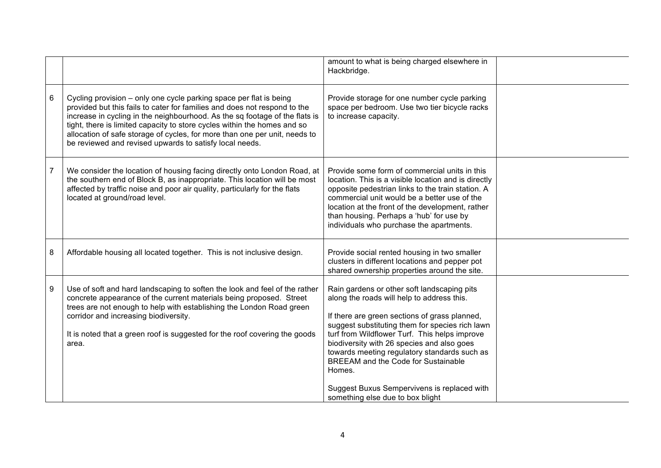|                |                                                                                                                                                                                                                                                                                                                                                                                                                                                     | amount to what is being charged elsewhere in<br>Hackbridge.                                                                                                                                                                                                                                                                                                                                                                                                                             |  |
|----------------|-----------------------------------------------------------------------------------------------------------------------------------------------------------------------------------------------------------------------------------------------------------------------------------------------------------------------------------------------------------------------------------------------------------------------------------------------------|-----------------------------------------------------------------------------------------------------------------------------------------------------------------------------------------------------------------------------------------------------------------------------------------------------------------------------------------------------------------------------------------------------------------------------------------------------------------------------------------|--|
| 6              | Cycling provision – only one cycle parking space per flat is being<br>provided but this fails to cater for families and does not respond to the<br>increase in cycling in the neighbourhood. As the sq footage of the flats is<br>tight, there is limited capacity to store cycles within the homes and so<br>allocation of safe storage of cycles, for more than one per unit, needs to<br>be reviewed and revised upwards to satisfy local needs. | Provide storage for one number cycle parking<br>space per bedroom. Use two tier bicycle racks<br>to increase capacity.                                                                                                                                                                                                                                                                                                                                                                  |  |
| $\overline{7}$ | We consider the location of housing facing directly onto London Road, at<br>the southern end of Block B, as inappropriate. This location will be most<br>affected by traffic noise and poor air quality, particularly for the flats<br>located at ground/road level.                                                                                                                                                                                | Provide some form of commercial units in this<br>location. This is a visible location and is directly<br>opposite pedestrian links to the train station. A<br>commercial unit would be a better use of the<br>location at the front of the development, rather<br>than housing. Perhaps a 'hub' for use by<br>individuals who purchase the apartments.                                                                                                                                  |  |
| 8              | Affordable housing all located together. This is not inclusive design.                                                                                                                                                                                                                                                                                                                                                                              | Provide social rented housing in two smaller<br>clusters in different locations and pepper pot<br>shared ownership properties around the site.                                                                                                                                                                                                                                                                                                                                          |  |
| 9              | Use of soft and hard landscaping to soften the look and feel of the rather<br>concrete appearance of the current materials being proposed. Street<br>trees are not enough to help with establishing the London Road green<br>corridor and increasing biodiversity.<br>It is noted that a green roof is suggested for the roof covering the goods<br>area.                                                                                           | Rain gardens or other soft landscaping pits<br>along the roads will help to address this.<br>If there are green sections of grass planned,<br>suggest substituting them for species rich lawn<br>turf from Wildflower Turf. This helps improve<br>biodiversity with 26 species and also goes<br>towards meeting regulatory standards such as<br><b>BREEAM and the Code for Sustainable</b><br>Homes.<br>Suggest Buxus Sempervivens is replaced with<br>something else due to box blight |  |